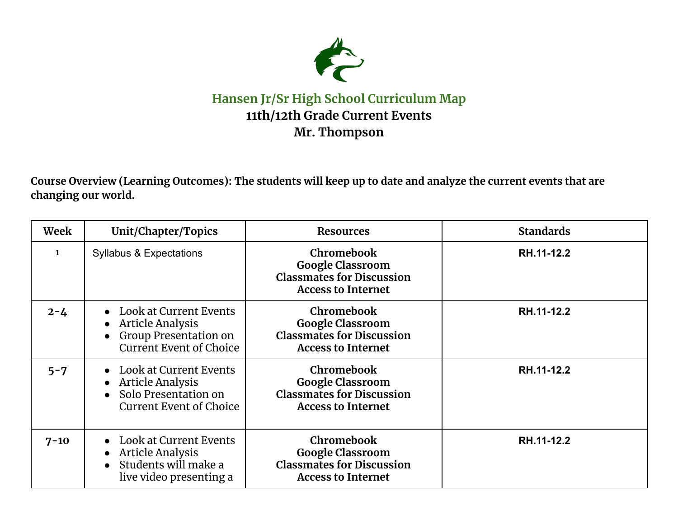

## **Hansen Jr/Sr High School Curriculum Map 11th/12th Grade Current Events Mr. Thompson**

Course Overview (Learning Outcomes): The students will keep up to date and analyze the current events that are **changing our world.**

| Week         | Unit/Chapter/Topics                                                                                                              | <b>Resources</b>                                                                                              | <b>Standards</b> |
|--------------|----------------------------------------------------------------------------------------------------------------------------------|---------------------------------------------------------------------------------------------------------------|------------------|
| $\mathbf{1}$ | <b>Syllabus &amp; Expectations</b>                                                                                               | <b>Chromebook</b><br><b>Google Classroom</b><br><b>Classmates for Discussion</b><br><b>Access to Internet</b> | RH.11-12.2       |
| $2 - 4$      | • Look at Current Events<br>• Article Analysis<br><b>Group Presentation on</b><br>$\bullet$<br><b>Current Event of Choice</b>    | Chromebook<br><b>Google Classroom</b><br><b>Classmates for Discussion</b><br><b>Access to Internet</b>        | RH.11-12.2       |
| $5 - 7$      | • Look at Current Events<br>• Article Analysis<br>• Solo Presentation on<br><b>Current Event of Choice</b>                       | <b>Chromebook</b><br><b>Google Classroom</b><br><b>Classmates for Discussion</b><br><b>Access to Internet</b> | RH.11-12.2       |
| $7 - 10$     | <b>Look at Current Events</b><br>$\bullet$<br>Article Analysis<br>$\bullet$<br>• Students will make a<br>live video presenting a | <b>Chromebook</b><br><b>Google Classroom</b><br><b>Classmates for Discussion</b><br><b>Access to Internet</b> | RH.11-12.2       |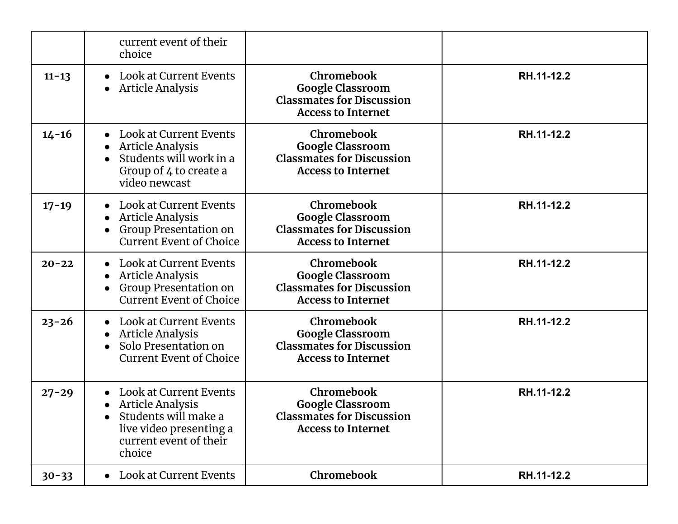|           | current event of their<br>choice                                                                                                                                          |                                                                                                        |            |
|-----------|---------------------------------------------------------------------------------------------------------------------------------------------------------------------------|--------------------------------------------------------------------------------------------------------|------------|
| $11 - 13$ | <b>Look at Current Events</b><br><b>Article Analysis</b><br>$\bullet$                                                                                                     | Chromebook<br><b>Google Classroom</b><br><b>Classmates for Discussion</b><br><b>Access to Internet</b> | RH.11-12.2 |
| $14 - 16$ | Look at Current Events<br>$\bullet$<br><b>Article Analysis</b><br>$\bullet$<br>Students will work in a<br>Group of 4 to create a<br>video newcast                         | Chromebook<br><b>Google Classroom</b><br><b>Classmates for Discussion</b><br><b>Access to Internet</b> | RH.11-12.2 |
| $17 - 19$ | <b>Look at Current Events</b><br>$\bullet$<br><b>Article Analysis</b><br>$\bullet$<br>Group Presentation on<br><b>Current Event of Choice</b>                             | Chromebook<br><b>Google Classroom</b><br><b>Classmates for Discussion</b><br><b>Access to Internet</b> | RH.11-12.2 |
| $20 - 22$ | <b>Look at Current Events</b><br>$\bullet$<br><b>Article Analysis</b><br>$\bullet$<br><b>Group Presentation on</b><br><b>Current Event of Choice</b>                      | Chromebook<br><b>Google Classroom</b><br><b>Classmates for Discussion</b><br><b>Access to Internet</b> | RH.11-12.2 |
| $23 - 26$ | Look at Current Events<br><b>Article Analysis</b><br>Solo Presentation on<br>$\bullet$<br><b>Current Event of Choice</b>                                                  | Chromebook<br><b>Google Classroom</b><br><b>Classmates for Discussion</b><br><b>Access to Internet</b> | RH.11-12.2 |
| $27 - 29$ | <b>Look at Current Events</b><br>$\bullet$<br><b>Article Analysis</b><br>Students will make a<br>$\bullet$<br>live video presenting a<br>current event of their<br>choice | Chromebook<br><b>Google Classroom</b><br><b>Classmates for Discussion</b><br><b>Access to Internet</b> | RH.11-12.2 |
| $30 - 33$ | • Look at Current Events                                                                                                                                                  | Chromebook                                                                                             | RH.11-12.2 |